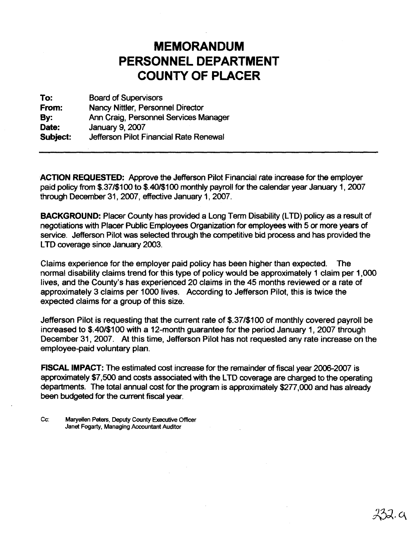## **MEMORANDUM PERSONNEL DEPARTMENT COUNTY OF PLACER**

**To:** Board of Supervisors From: Nancy Nittler, Personnel Director By: Ann Craig, Personnel Services Manager<br>Date: January 9, 2007 **January 9, 2007 Subject:** Jefferson Pilot Financial Rate Renewal

**-ACTION REQUESTED:** Approve the Jefferson Pilot Financial rate increase for the employer paid policy from \$.37/\$100 to \$.40/\$100 monthly payroll for the calendar year January 1, 2007 through December 31,2007, effective January 1,2007.

**BACKGROUND:** Placer County has provided a Long Term Disability (LTD) policy as a result of negotiations with Placer Public Employees Organization for employees with 5 or more years of service. Jefferson Pilot was selected through the competitive bid process and has provided the LTD coverage since January 2003.

Claims experience for the employer paid policy has been higher than expected. The normal disability claims trend for this type of policy would be approximately 1 claim per 1,000 lives, and the County's has experienced 20 claims in the 45 months reviewed or a rate of approximately 3 claims per 1000 lives. According to Jefferson Pilot, this is twice the expected claims for a group of this size.

Jefferson Pilot is requesting that the current rate of \$.37/\$100 of monthly covered payroll be increased to \$.40/\$100 with a 12-month guarantee for the period January I, 2007 through December 31, 2007. At this time, Jefferson Pilot has not requested any rate increase on the employee-paid voluntary plan.

**FISCAL IMPACT:** The estimated cost increase for the remainder of fiscal year 2006-2007 is approximately \$7,500 and costs associated with the LTD coverage are charged to the operating departments. The total annual cost for the program is approximately \$277,000 and has already been budgeted for the current fiscal year.

**Cc: Maryellen Peters, Deputy County Executive Officer Janet Fogarty, Managing Accountant Auditor**